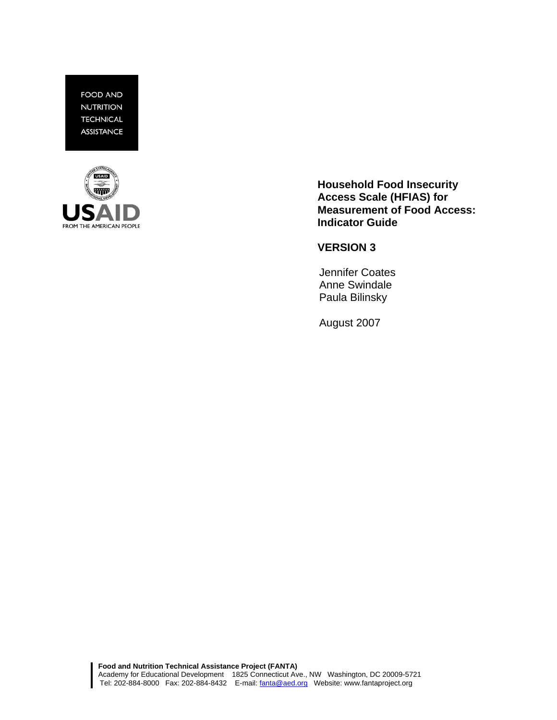**FOOD AND NUTRITION TECHNICAL ASSISTANCE** 



**Household Food Insecurity Access Scale (HFIAS) for Measurement of Food Access: Indicator Guide** 

**VERSION 3** 

Jennifer Coates Anne Swindale Paula Bilinsky

August 2007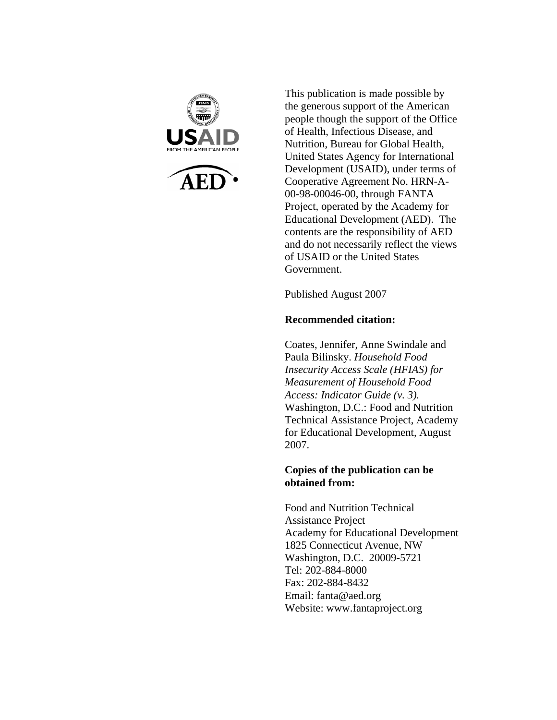

This publication is made possible by the generous support of the American people though the support of the Office of Health, Infectious Disease, and Nutrition, Bureau for Global Health, United States Agency for International Development (USAID), under terms of Cooperative Agreement No. HRN-A-00-98-00046-00, through FANTA Project, operated by the Academy for Educational Development (AED). The contents are the responsibility of AED and do not necessarily reflect the views of USAID or the United States Government.

Published August 2007

## **Recommended citation:**

Coates, Jennifer, Anne Swindale and Paula Bilinsky. *Household Food Insecurity Access Scale (HFIAS) for Measurement of Household Food Access: Indicator Guide (v. 3).*  Washington, D.C.: Food and Nutrition Technical Assistance Project, Academy for Educational Development, August 2007.

#### **Copies of the publication can be obtained from:**

Food and Nutrition Technical Assistance Project Academy for Educational Development 1825 Connecticut Avenue, NW Washington, D.C. 20009-5721 Tel: 202-884-8000 Fax: 202-884-8432 Email: fanta@aed.org Website: www.fantaproject.org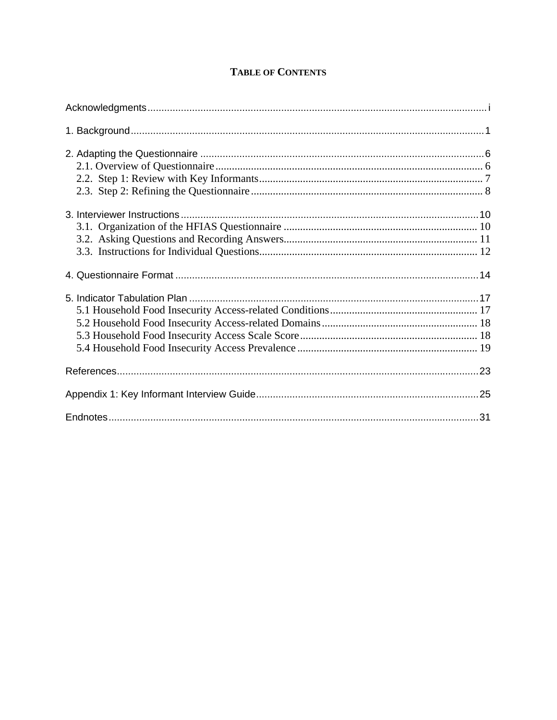# **TABLE OF CONTENTS**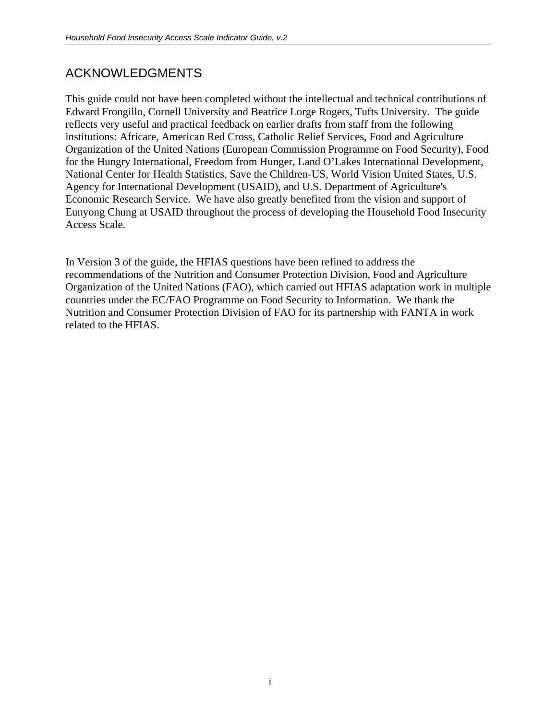# ACKNOWLEDGMENTS

This guide could not have been completed without the intellectual and technical contributions of Edward Frongillo, Cornell University and Beatrice Lorge Rogers, Tufts University. The guide reflects very useful and practical feedback on earlier drafts from staff from the following institutions: Africare, American Red Cross, Catholic Relief Services, Food and Agriculture Organization of the United Nations (European Commission Programme on Food Security), Food for the Hungry International, Freedom from Hunger, Land O'Lakes International Development, National Center for Health Statistics, Save the Children-US, World Vision United States, U.S. Agency for International Development (USAID), and U.S. Department of Agriculture's Economic Research Service. We have also greatly benefited from the vision and support of Eunyong Chung at USAID throughout the process of developing the Household Food Insecurity Access Scale.

In Version 3 of the guide, the HFIAS questions have been refined to address the recommendations of the Nutrition and Consumer Protection Division, Food and Agriculture Organization of the United Nations (FAO), which carried out HFIAS adaptation work in multiple countries under the EC/FAO Programme on Food Security to Information. We thank the Nutrition and Consumer Protection Division of FAO for its partnership with FANTA in work related to the HFIAS.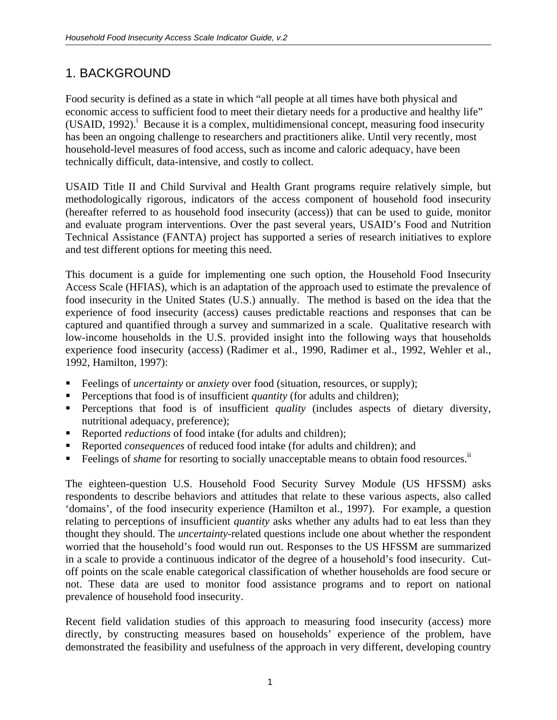# 1. BACKGROUND

Food security is defined as a state in which "all people at all times have both physical and economic access to sufficient food to meet their dietary needs for a productive and healthy life" (USAID, 1992).<sup>i</sup> Because it is a complex, multidimensional concept, measuring food insecurity has been an ongoing challenge to researchers and practitioners alike. Until very recently, most household-level measures of food access, such as income and caloric adequacy, have been technically difficult, data-intensive, and costly to collect.

USAID Title II and Child Survival and Health Grant programs require relatively simple, but methodologically rigorous, indicators of the access component of household food insecurity (hereafter referred to as household food insecurity (access)) that can be used to guide, monitor and evaluate program interventions. Over the past several years, USAID's Food and Nutrition Technical Assistance (FANTA) project has supported a series of research initiatives to explore and test different options for meeting this need.

This document is a guide for implementing one such option, the Household Food Insecurity Access Scale (HFIAS), which is an adaptation of the approach used to estimate the prevalence of food insecurity in the United States (U.S.) annually. The method is based on the idea that the experience of food insecurity (access) causes predictable reactions and responses that can be captured and quantified through a survey and summarized in a scale. Qualitative research with low-income households in the U.S. provided insight into the following ways that households experience food insecurity (access) (Radimer et al., 1990, Radimer et al., 1992, Wehler et al., 1992, Hamilton, 1997):

- Feelings of *uncertainty* or *anxiety* over food (situation, resources, or supply);
- Perceptions that food is of insufficient *quantity* (for adults and children);
- Perceptions that food is of insufficient *quality* (includes aspects of dietary diversity, nutritional adequacy, preference);
- Reported *reductions* of food intake (for adults and children);
- Reported *consequences* of reduced food intake (for adults and children); and
- Feelings of *shame* for resorting to socially unacceptable means to obtain food resources.<sup>ii</sup>

The eighteen-question U.S. Household Food Security Survey Module (US HFSSM) asks respondents to describe behaviors and attitudes that relate to these various aspects, also called 'domains', of the food insecurity experience (Hamilton et al., 1997). For example, a question relating to perceptions of insufficient *quantity* asks whether any adults had to eat less than they thought they should. The *uncertainty*-related questions include one about whether the respondent worried that the household's food would run out. Responses to the US HFSSM are summarized in a scale to provide a continuous indicator of the degree of a household's food insecurity. Cutoff points on the scale enable categorical classification of whether households are food secure or not. These data are used to monitor food assistance programs and to report on national prevalence of household food insecurity.

Recent field validation studies of this approach to measuring food insecurity (access) more directly, by constructing measures based on households' experience of the problem, have demonstrated the feasibility and usefulness of the approach in very different, developing country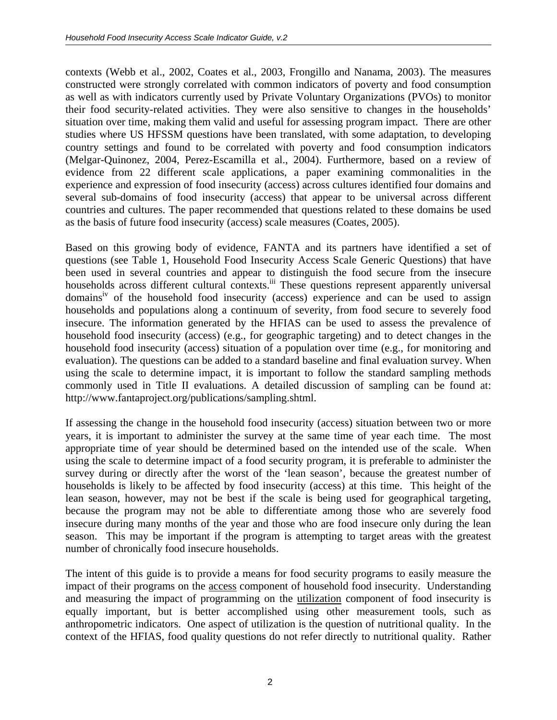contexts (Webb et al., 2002, Coates et al., 2003, Frongillo and Nanama, 2003). The measures constructed were strongly correlated with common indicators of poverty and food consumption as well as with indicators currently used by Private Voluntary Organizations (PVOs) to monitor their food security-related activities. They were also sensitive to changes in the households' situation over time, making them valid and useful for assessing program impact. There are other studies where US HFSSM questions have been translated, with some adaptation, to developing country settings and found to be correlated with poverty and food consumption indicators (Melgar-Quinonez, 2004, Perez-Escamilla et al., 2004). Furthermore, based on a review of evidence from 22 different scale applications, a paper examining commonalities in the experience and expression of food insecurity (access) across cultures identified four domains and several sub-domains of food insecurity (access) that appear to be universal across different countries and cultures. The paper recommended that questions related to these domains be used as the basis of future food insecurity (access) scale measures (Coates, 2005).

Based on this growing body of evidence, FANTA and its partners have identified a set of questions (see Table 1, Household Food Insecurity Access Scale Generic Questions) that have been used in several countries and appear to distinguish the food secure from the insecure households across different cultural contexts.<sup>iii</sup> These questions represent apparently universal domains<sup>iv</sup> of the household food insecurity (access) experience and can be used to assign households and populations along a continuum of severity, from food secure to severely food insecure. The information generated by the HFIAS can be used to assess the prevalence of household food insecurity (access) (e.g., for geographic targeting) and to detect changes in the household food insecurity (access) situation of a population over time (e.g., for monitoring and evaluation). The questions can be added to a standard baseline and final evaluation survey. When using the scale to determine impact, it is important to follow the standard sampling methods commonly used in Title II evaluations. A detailed discussion of sampling can be found at: http://www.fantaproject.org/publications/sampling.shtml.

If assessing the change in the household food insecurity (access) situation between two or more years, it is important to administer the survey at the same time of year each time. The most appropriate time of year should be determined based on the intended use of the scale. When using the scale to determine impact of a food security program, it is preferable to administer the survey during or directly after the worst of the 'lean season', because the greatest number of households is likely to be affected by food insecurity (access) at this time. This height of the lean season, however, may not be best if the scale is being used for geographical targeting, because the program may not be able to differentiate among those who are severely food insecure during many months of the year and those who are food insecure only during the lean season. This may be important if the program is attempting to target areas with the greatest number of chronically food insecure households.

The intent of this guide is to provide a means for food security programs to easily measure the impact of their programs on the access component of household food insecurity. Understanding and measuring the impact of programming on the utilization component of food insecurity is equally important, but is better accomplished using other measurement tools, such as anthropometric indicators. One aspect of utilization is the question of nutritional quality. In the context of the HFIAS, food quality questions do not refer directly to nutritional quality. Rather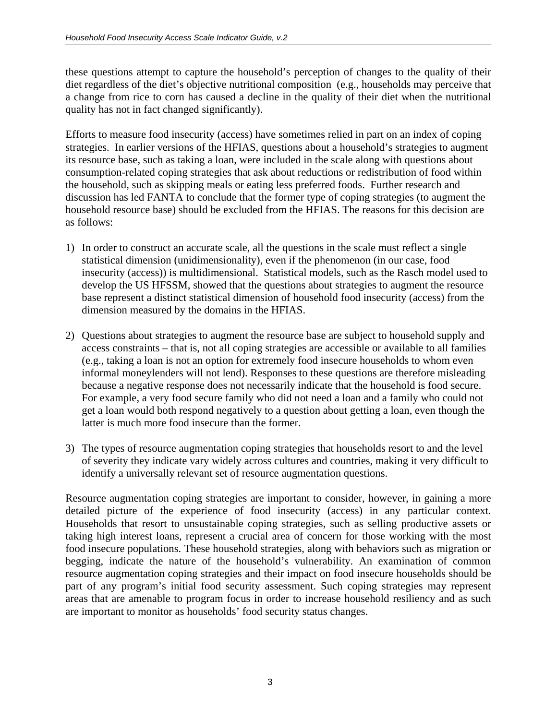these questions attempt to capture the household's perception of changes to the quality of their diet regardless of the diet's objective nutritional composition (e.g., households may perceive that a change from rice to corn has caused a decline in the quality of their diet when the nutritional quality has not in fact changed significantly).

Efforts to measure food insecurity (access) have sometimes relied in part on an index of coping strategies. In earlier versions of the HFIAS, questions about a household's strategies to augment its resource base, such as taking a loan, were included in the scale along with questions about consumption-related coping strategies that ask about reductions or redistribution of food within the household, such as skipping meals or eating less preferred foods. Further research and discussion has led FANTA to conclude that the former type of coping strategies (to augment the household resource base) should be excluded from the HFIAS. The reasons for this decision are as follows:

- 1) In order to construct an accurate scale, all the questions in the scale must reflect a single statistical dimension (unidimensionality), even if the phenomenon (in our case, food insecurity (access)) is multidimensional. Statistical models, such as the Rasch model used to develop the US HFSSM, showed that the questions about strategies to augment the resource base represent a distinct statistical dimension of household food insecurity (access) from the dimension measured by the domains in the HFIAS.
- 2) Questions about strategies to augment the resource base are subject to household supply and access constraints – that is, not all coping strategies are accessible or available to all families (e.g., taking a loan is not an option for extremely food insecure households to whom even informal moneylenders will not lend). Responses to these questions are therefore misleading because a negative response does not necessarily indicate that the household is food secure. For example, a very food secure family who did not need a loan and a family who could not get a loan would both respond negatively to a question about getting a loan, even though the latter is much more food insecure than the former.
- 3) The types of resource augmentation coping strategies that households resort to and the level of severity they indicate vary widely across cultures and countries, making it very difficult to identify a universally relevant set of resource augmentation questions.

Resource augmentation coping strategies are important to consider, however, in gaining a more detailed picture of the experience of food insecurity (access) in any particular context. Households that resort to unsustainable coping strategies, such as selling productive assets or taking high interest loans, represent a crucial area of concern for those working with the most food insecure populations. These household strategies, along with behaviors such as migration or begging, indicate the nature of the household's vulnerability. An examination of common resource augmentation coping strategies and their impact on food insecure households should be part of any program's initial food security assessment. Such coping strategies may represent areas that are amenable to program focus in order to increase household resiliency and as such are important to monitor as households' food security status changes.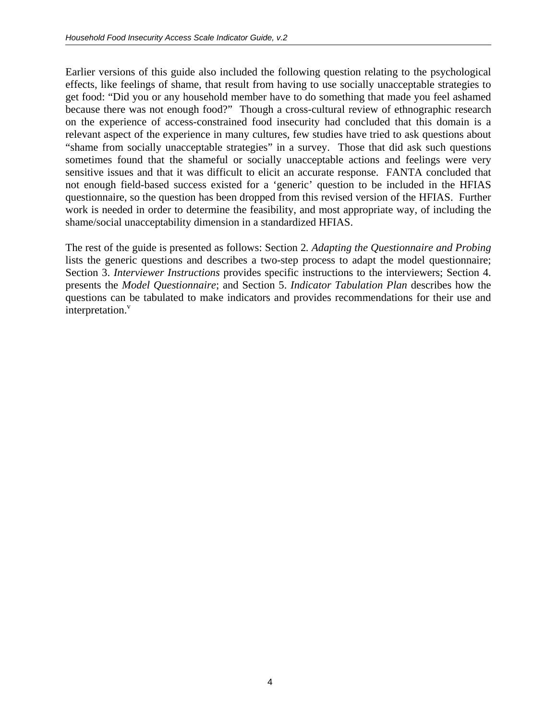Earlier versions of this guide also included the following question relating to the psychological effects, like feelings of shame, that result from having to use socially unacceptable strategies to get food: "Did you or any household member have to do something that made you feel ashamed because there was not enough food?" Though a cross-cultural review of ethnographic research on the experience of access-constrained food insecurity had concluded that this domain is a relevant aspect of the experience in many cultures, few studies have tried to ask questions about "shame from socially unacceptable strategies" in a survey. Those that did ask such questions sometimes found that the shameful or socially unacceptable actions and feelings were very sensitive issues and that it was difficult to elicit an accurate response. FANTA concluded that not enough field-based success existed for a 'generic' question to be included in the HFIAS questionnaire, so the question has been dropped from this revised version of the HFIAS. Further work is needed in order to determine the feasibility, and most appropriate way, of including the shame/social unacceptability dimension in a standardized HFIAS.

The rest of the guide is presented as follows: Section 2*. Adapting the Questionnaire and Probing* lists the generic questions and describes a two-step process to adapt the model questionnaire; Section 3. *Interviewer Instructions* provides specific instructions to the interviewers; Section 4. presents the *Model Questionnaire*; and Section 5. *Indicator Tabulation Plan* describes how the questions can be tabulated to make indicators and provides recommendations for their use and interpretation.<sup>v</sup>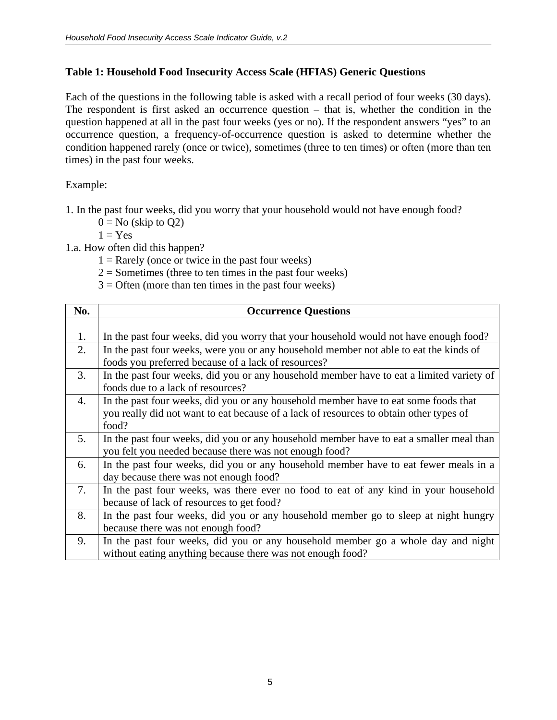## **Table 1: Household Food Insecurity Access Scale (HFIAS) Generic Questions**

Each of the questions in the following table is asked with a recall period of four weeks (30 days). The respondent is first asked an occurrence question – that is, whether the condition in the question happened at all in the past four weeks (yes or no). If the respondent answers "yes" to an occurrence question, a frequency-of-occurrence question is asked to determine whether the condition happened rarely (once or twice), sometimes (three to ten times) or often (more than ten times) in the past four weeks.

Example:

1. In the past four weeks, did you worry that your household would not have enough food?

 $0 =$  No (skip to Q2)

 $1 = Yes$ 

1.a. How often did this happen?

 $1 =$ Rarely (once or twice in the past four weeks)

 $2 =$  Sometimes (three to ten times in the past four weeks)

 $3 =$  Often (more than ten times in the past four weeks)

| No.              | <b>Occurrence Questions</b>                                                              |  |
|------------------|------------------------------------------------------------------------------------------|--|
|                  |                                                                                          |  |
| 1.               | In the past four weeks, did you worry that your household would not have enough food?    |  |
| 2.               | In the past four weeks, were you or any household member not able to eat the kinds of    |  |
|                  | foods you preferred because of a lack of resources?                                      |  |
| 3.               | In the past four weeks, did you or any household member have to eat a limited variety of |  |
|                  | foods due to a lack of resources?                                                        |  |
| $\overline{4}$ . | In the past four weeks, did you or any household member have to eat some foods that      |  |
|                  | you really did not want to eat because of a lack of resources to obtain other types of   |  |
|                  | food?                                                                                    |  |
| 5.               | In the past four weeks, did you or any household member have to eat a smaller meal than  |  |
|                  | you felt you needed because there was not enough food?                                   |  |
| 6.               | In the past four weeks, did you or any household member have to eat fewer meals in a     |  |
|                  | day because there was not enough food?                                                   |  |
| 7.               | In the past four weeks, was there ever no food to eat of any kind in your household      |  |
|                  | because of lack of resources to get food?                                                |  |
| 8.               | In the past four weeks, did you or any household member go to sleep at night hungry      |  |
|                  | because there was not enough food?                                                       |  |
| 9.               | In the past four weeks, did you or any household member go a whole day and night         |  |
|                  | without eating anything because there was not enough food?                               |  |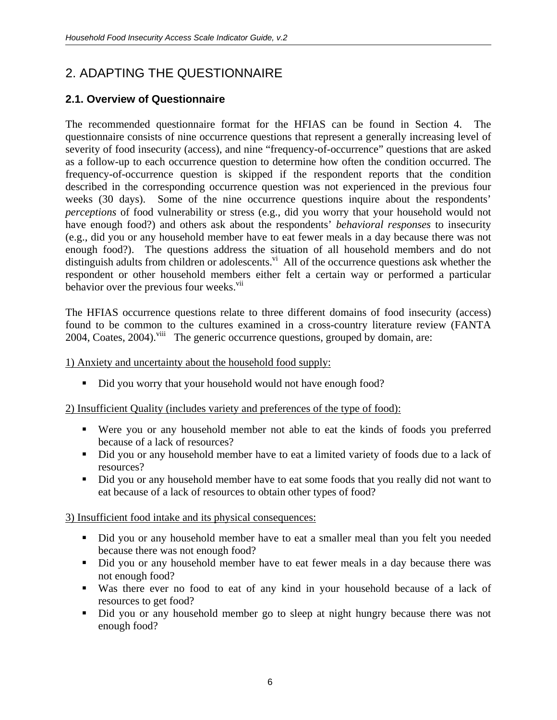# 2. ADAPTING THE QUESTIONNAIRE

# **2.1. Overview of Questionnaire**

The recommended questionnaire format for the HFIAS can be found in Section 4. The questionnaire consists of nine occurrence questions that represent a generally increasing level of severity of food insecurity (access), and nine "frequency-of-occurrence" questions that are asked as a follow-up to each occurrence question to determine how often the condition occurred. The frequency-of-occurrence question is skipped if the respondent reports that the condition described in the corresponding occurrence question was not experienced in the previous four weeks (30 days). Some of the nine occurrence questions inquire about the respondents' *perceptions* of food vulnerability or stress (e.g., did you worry that your household would not have enough food?) and others ask about the respondents' *behavioral responses* to insecurity (e.g., did you or any household member have to eat fewer meals in a day because there was not enough food?). The questions address the situation of all household members and do not distinguish adults from children or adolescents. $\overline{v}$ <sup>i</sup> All of the occurrence questions ask whether the respondent or other household members either felt a certain way or performed a particular behavior over the previous four weeks.<sup>vii</sup>

The HFIAS occurrence questions relate to three different domains of food insecurity (access) found to be common to the cultures examined in a cross-country literature review (FANTA 2004, Coates, 2004).<sup>viii</sup> The generic occurrence questions, grouped by domain, are:

1) Anxiety and uncertainty about the household food supply:

Did you worry that your household would not have enough food?

2) Insufficient Quality (includes variety and preferences of the type of food):

- Were you or any household member not able to eat the kinds of foods you preferred because of a lack of resources?
- Did you or any household member have to eat a limited variety of foods due to a lack of resources?
- Did you or any household member have to eat some foods that you really did not want to eat because of a lack of resources to obtain other types of food?

## 3) Insufficient food intake and its physical consequences:

- Did you or any household member have to eat a smaller meal than you felt you needed because there was not enough food?
- Did you or any household member have to eat fewer meals in a day because there was not enough food?
- Was there ever no food to eat of any kind in your household because of a lack of resources to get food?
- Did you or any household member go to sleep at night hungry because there was not enough food?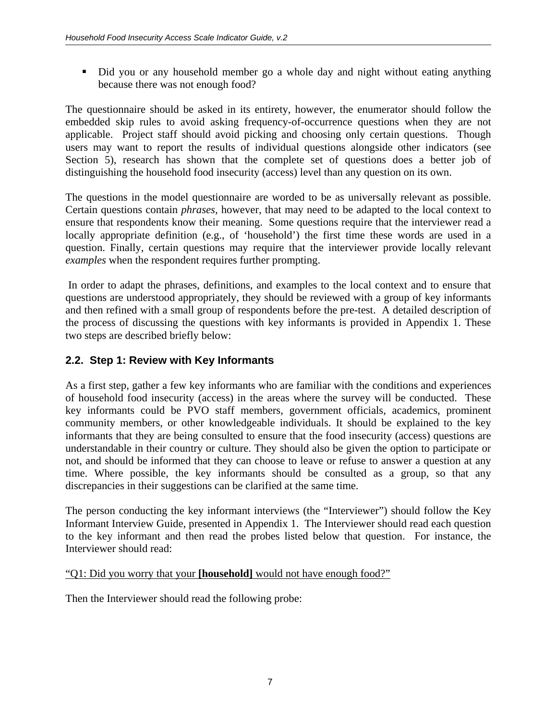Did you or any household member go a whole day and night without eating anything because there was not enough food?

The questionnaire should be asked in its entirety, however, the enumerator should follow the embedded skip rules to avoid asking frequency-of-occurrence questions when they are not applicable. Project staff should avoid picking and choosing only certain questions. Though users may want to report the results of individual questions alongside other indicators (see Section 5), research has shown that the complete set of questions does a better job of distinguishing the household food insecurity (access) level than any question on its own.

The questions in the model questionnaire are worded to be as universally relevant as possible. Certain questions contain *phrases*, however, that may need to be adapted to the local context to ensure that respondents know their meaning. Some questions require that the interviewer read a locally appropriate definition (e.g., of 'household') the first time these words are used in a question. Finally, certain questions may require that the interviewer provide locally relevant *examples* when the respondent requires further prompting.

 In order to adapt the phrases, definitions, and examples to the local context and to ensure that questions are understood appropriately, they should be reviewed with a group of key informants and then refined with a small group of respondents before the pre-test. A detailed description of the process of discussing the questions with key informants is provided in Appendix 1. These two steps are described briefly below:

# **2.2. Step 1: Review with Key Informants**

As a first step, gather a few key informants who are familiar with the conditions and experiences of household food insecurity (access) in the areas where the survey will be conducted. These key informants could be PVO staff members, government officials, academics, prominent community members, or other knowledgeable individuals. It should be explained to the key informants that they are being consulted to ensure that the food insecurity (access) questions are understandable in their country or culture. They should also be given the option to participate or not, and should be informed that they can choose to leave or refuse to answer a question at any time. Where possible, the key informants should be consulted as a group, so that any discrepancies in their suggestions can be clarified at the same time.

The person conducting the key informant interviews (the "Interviewer") should follow the Key Informant Interview Guide, presented in Appendix 1. The Interviewer should read each question to the key informant and then read the probes listed below that question. For instance, the Interviewer should read:

#### "Q1: Did you worry that your **[household]** would not have enough food?"

Then the Interviewer should read the following probe: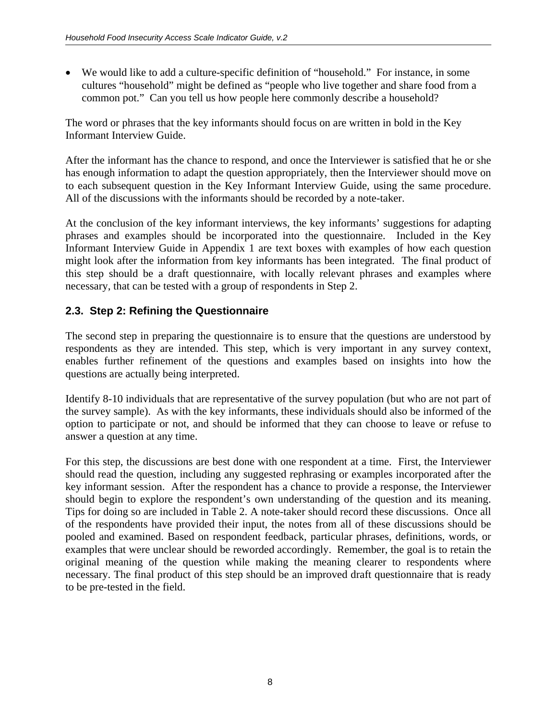• We would like to add a culture-specific definition of "household." For instance, in some cultures "household" might be defined as "people who live together and share food from a common pot." Can you tell us how people here commonly describe a household?

The word or phrases that the key informants should focus on are written in bold in the Key Informant Interview Guide.

After the informant has the chance to respond, and once the Interviewer is satisfied that he or she has enough information to adapt the question appropriately, then the Interviewer should move on to each subsequent question in the Key Informant Interview Guide, using the same procedure. All of the discussions with the informants should be recorded by a note-taker.

At the conclusion of the key informant interviews, the key informants' suggestions for adapting phrases and examples should be incorporated into the questionnaire. Included in the Key Informant Interview Guide in Appendix 1 are text boxes with examples of how each question might look after the information from key informants has been integrated. The final product of this step should be a draft questionnaire, with locally relevant phrases and examples where necessary, that can be tested with a group of respondents in Step 2.

# **2.3. Step 2: Refining the Questionnaire**

The second step in preparing the questionnaire is to ensure that the questions are understood by respondents as they are intended. This step, which is very important in any survey context, enables further refinement of the questions and examples based on insights into how the questions are actually being interpreted.

Identify 8-10 individuals that are representative of the survey population (but who are not part of the survey sample). As with the key informants, these individuals should also be informed of the option to participate or not, and should be informed that they can choose to leave or refuse to answer a question at any time.

For this step, the discussions are best done with one respondent at a time. First, the Interviewer should read the question, including any suggested rephrasing or examples incorporated after the key informant session. After the respondent has a chance to provide a response, the Interviewer should begin to explore the respondent's own understanding of the question and its meaning. Tips for doing so are included in Table 2. A note-taker should record these discussions. Once all of the respondents have provided their input, the notes from all of these discussions should be pooled and examined. Based on respondent feedback, particular phrases, definitions, words, or examples that were unclear should be reworded accordingly. Remember, the goal is to retain the original meaning of the question while making the meaning clearer to respondents where necessary. The final product of this step should be an improved draft questionnaire that is ready to be pre-tested in the field.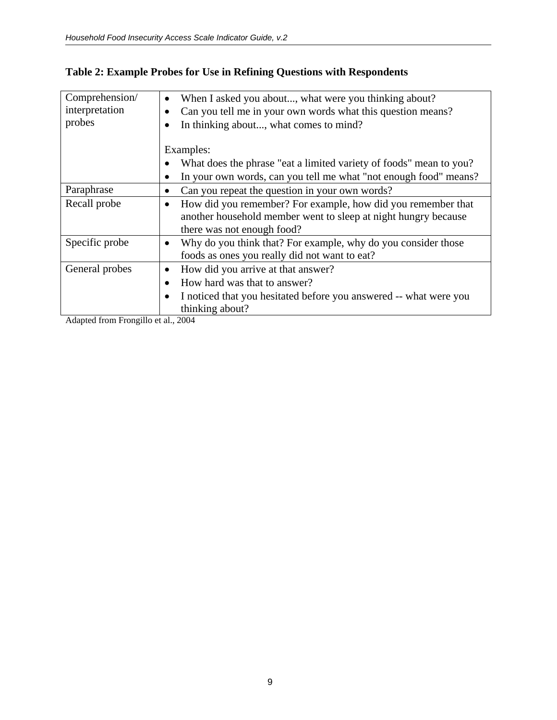| Comprehension/ | When I asked you about, what were you thinking about?<br>$\bullet$             |
|----------------|--------------------------------------------------------------------------------|
| interpretation | Can you tell me in your own words what this question means?<br>$\bullet$       |
| probes         | In thinking about, what comes to mind?                                         |
|                |                                                                                |
|                | Examples:                                                                      |
|                | What does the phrase "eat a limited variety of foods" mean to you?             |
|                | In your own words, can you tell me what "not enough food" means?<br>٠          |
| Paraphrase     | Can you repeat the question in your own words?<br>٠                            |
| Recall probe   | How did you remember? For example, how did you remember that<br>$\bullet$      |
|                | another household member went to sleep at night hungry because                 |
|                | there was not enough food?                                                     |
| Specific probe | Why do you think that? For example, why do you consider those<br>$\bullet$     |
|                | foods as ones you really did not want to eat?                                  |
| General probes | How did you arrive at that answer?                                             |
|                | How hard was that to answer?<br>$\bullet$                                      |
|                | I noticed that you hesitated before you answered -- what were you<br>$\bullet$ |
|                | thinking about?                                                                |

# **Table 2: Example Probes for Use in Refining Questions with Respondents**

Adapted from Frongillo et al., 2004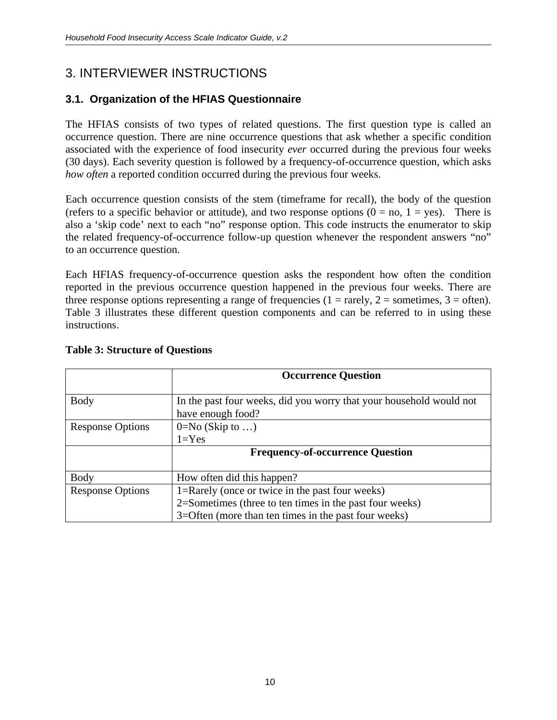# 3. INTERVIEWER INSTRUCTIONS

# **3.1. Organization of the HFIAS Questionnaire**

The HFIAS consists of two types of related questions. The first question type is called an occurrence question. There are nine occurrence questions that ask whether a specific condition associated with the experience of food insecurity *ever* occurred during the previous four weeks (30 days). Each severity question is followed by a frequency-of-occurrence question, which asks *how often* a reported condition occurred during the previous four weeks.

Each occurrence question consists of the stem (timeframe for recall), the body of the question (refers to a specific behavior or attitude), and two response options  $(0 = no, 1 = yes)$ . There is also a 'skip code' next to each "no" response option. This code instructs the enumerator to skip the related frequency-of-occurrence follow-up question whenever the respondent answers "no" to an occurrence question.

Each HFIAS frequency-of-occurrence question asks the respondent how often the condition reported in the previous occurrence question happened in the previous four weeks. There are three response options representing a range of frequencies ( $1 = \text{rarely}, 2 = \text{sometimes}, 3 = \text{often}$ ). Table 3 illustrates these different question components and can be referred to in using these instructions.

|                         | <b>Occurrence Question</b>                                          |  |
|-------------------------|---------------------------------------------------------------------|--|
|                         |                                                                     |  |
| <b>Body</b>             | In the past four weeks, did you worry that your household would not |  |
|                         | have enough food?                                                   |  |
| <b>Response Options</b> | $0=No$ (Skip to )                                                   |  |
|                         | $1 = Yes$                                                           |  |
|                         | <b>Frequency-of-occurrence Question</b>                             |  |
|                         |                                                                     |  |
| <b>Body</b>             | How often did this happen?                                          |  |
| <b>Response Options</b> | 1=Rarely (once or twice in the past four weeks)                     |  |
|                         | 2=Sometimes (three to ten times in the past four weeks)             |  |
|                         | 3=Often (more than ten times in the past four weeks)                |  |

## **Table 3: Structure of Questions**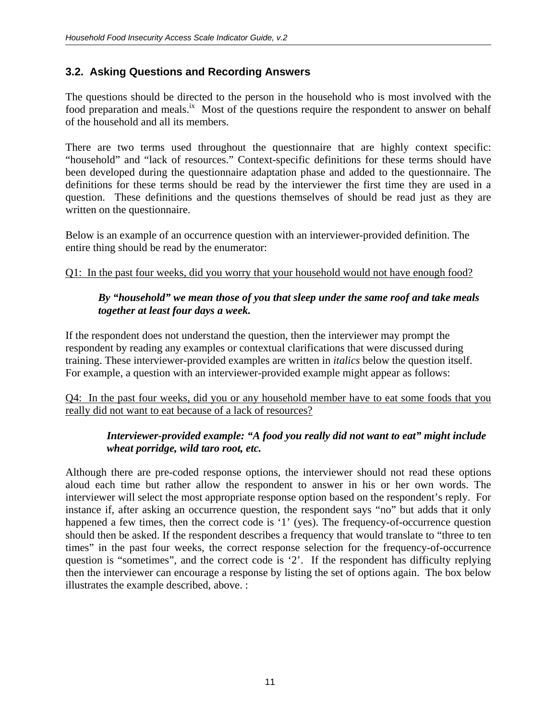## **3.2. Asking Questions and Recording Answers**

The questions should be directed to the person in the household who is most involved with the food preparation and meals.<sup>ix</sup> Most of the questions require the respondent to answer on behalf of the household and all its members.

There are two terms used throughout the questionnaire that are highly context specific: "household" and "lack of resources." Context-specific definitions for these terms should have been developed during the questionnaire adaptation phase and added to the questionnaire. The definitions for these terms should be read by the interviewer the first time they are used in a question. These definitions and the questions themselves of should be read just as they are written on the questionnaire.

Below is an example of an occurrence question with an interviewer-provided definition. The entire thing should be read by the enumerator:

## Q1: In the past four weeks, did you worry that your household would not have enough food?

#### *By "household" we mean those of you that sleep under the same roof and take meals together at least four days a week.*

If the respondent does not understand the question, then the interviewer may prompt the respondent by reading any examples or contextual clarifications that were discussed during training. These interviewer-provided examples are written in *italics* below the question itself. For example, a question with an interviewer-provided example might appear as follows:

Q4: In the past four weeks, did you or any household member have to eat some foods that you really did not want to eat because of a lack of resources?

## *Interviewer-provided example: "A food you really did not want to eat" might include wheat porridge, wild taro root, etc.*

Although there are pre-coded response options, the interviewer should not read these options aloud each time but rather allow the respondent to answer in his or her own words. The interviewer will select the most appropriate response option based on the respondent's reply. For instance if, after asking an occurrence question, the respondent says "no" but adds that it only happened a few times, then the correct code is '1' (yes). The frequency-of-occurrence question should then be asked. If the respondent describes a frequency that would translate to "three to ten times" in the past four weeks, the correct response selection for the frequency-of-occurrence question is "sometimes", and the correct code is '2'. If the respondent has difficulty replying then the interviewer can encourage a response by listing the set of options again. The box below illustrates the example described, above. :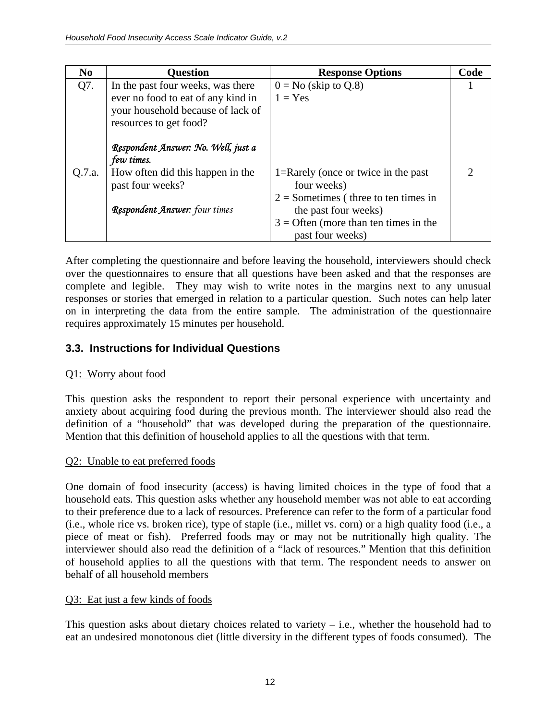| N <sub>0</sub> | <b>Question</b>                                                                                   | <b>Response Options</b>                                                                       | Code                        |
|----------------|---------------------------------------------------------------------------------------------------|-----------------------------------------------------------------------------------------------|-----------------------------|
| Q7.            | In the past four weeks, was there                                                                 | $0 = No$ (skip to Q.8)                                                                        |                             |
|                | ever no food to eat of any kind in<br>your household because of lack of<br>resources to get food? | $1 = Yes$                                                                                     |                             |
|                | Respondent Answer: No. Well, just a<br>few times.                                                 |                                                                                               |                             |
| Q.7.a.         | How often did this happen in the<br>past four weeks?                                              | 1=Rarely (once or twice in the past)<br>four weeks)<br>$2 =$ Sometimes (three to ten times in | $\mathcal{D}_{\mathcal{L}}$ |
|                | Respondent Answer: four times                                                                     | the past four weeks)<br>$3 =$ Often (more than ten times in the<br>past four weeks)           |                             |

After completing the questionnaire and before leaving the household, interviewers should check over the questionnaires to ensure that all questions have been asked and that the responses are complete and legible. They may wish to write notes in the margins next to any unusual responses or stories that emerged in relation to a particular question. Such notes can help later on in interpreting the data from the entire sample. The administration of the questionnaire requires approximately 15 minutes per household.

# **3.3. Instructions for Individual Questions**

# Q1: Worry about food

This question asks the respondent to report their personal experience with uncertainty and anxiety about acquiring food during the previous month. The interviewer should also read the definition of a "household" that was developed during the preparation of the questionnaire. Mention that this definition of household applies to all the questions with that term.

# Q2: Unable to eat preferred foods

One domain of food insecurity (access) is having limited choices in the type of food that a household eats. This question asks whether any household member was not able to eat according to their preference due to a lack of resources. Preference can refer to the form of a particular food (i.e., whole rice vs. broken rice), type of staple (i.e., millet vs. corn) or a high quality food (i.e., a piece of meat or fish). Preferred foods may or may not be nutritionally high quality. The interviewer should also read the definition of a "lack of resources." Mention that this definition of household applies to all the questions with that term. The respondent needs to answer on behalf of all household members

# Q3: Eat just a few kinds of foods

This question asks about dietary choices related to variety – i.e., whether the household had to eat an undesired monotonous diet (little diversity in the different types of foods consumed). The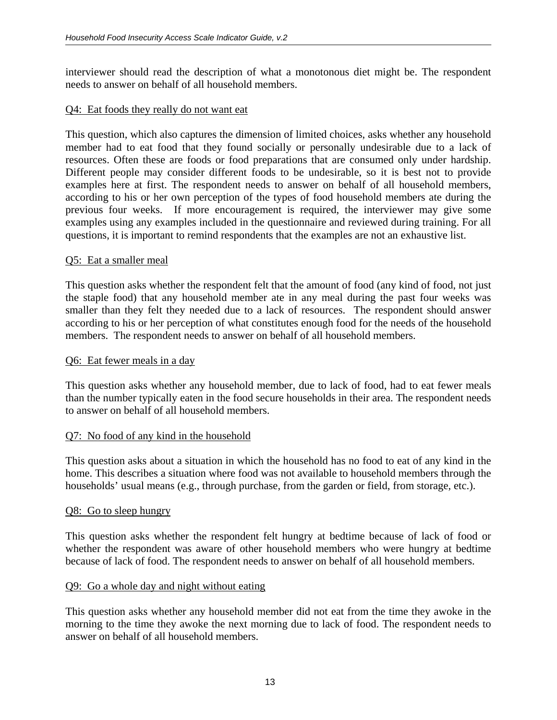interviewer should read the description of what a monotonous diet might be. The respondent needs to answer on behalf of all household members.

#### Q4: Eat foods they really do not want eat

This question, which also captures the dimension of limited choices, asks whether any household member had to eat food that they found socially or personally undesirable due to a lack of resources. Often these are foods or food preparations that are consumed only under hardship. Different people may consider different foods to be undesirable, so it is best not to provide examples here at first. The respondent needs to answer on behalf of all household members, according to his or her own perception of the types of food household members ate during the previous four weeks. If more encouragement is required, the interviewer may give some examples using any examples included in the questionnaire and reviewed during training. For all questions, it is important to remind respondents that the examples are not an exhaustive list.

#### Q5: Eat a smaller meal

This question asks whether the respondent felt that the amount of food (any kind of food, not just the staple food) that any household member ate in any meal during the past four weeks was smaller than they felt they needed due to a lack of resources. The respondent should answer according to his or her perception of what constitutes enough food for the needs of the household members. The respondent needs to answer on behalf of all household members.

#### Q6: Eat fewer meals in a day

This question asks whether any household member, due to lack of food, had to eat fewer meals than the number typically eaten in the food secure households in their area. The respondent needs to answer on behalf of all household members.

#### Q7: No food of any kind in the household

This question asks about a situation in which the household has no food to eat of any kind in the home. This describes a situation where food was not available to household members through the households' usual means (e.g., through purchase, from the garden or field, from storage, etc.).

#### Q8: Go to sleep hungry

This question asks whether the respondent felt hungry at bedtime because of lack of food or whether the respondent was aware of other household members who were hungry at bedtime because of lack of food. The respondent needs to answer on behalf of all household members.

#### Q9: Go a whole day and night without eating

This question asks whether any household member did not eat from the time they awoke in the morning to the time they awoke the next morning due to lack of food. The respondent needs to answer on behalf of all household members.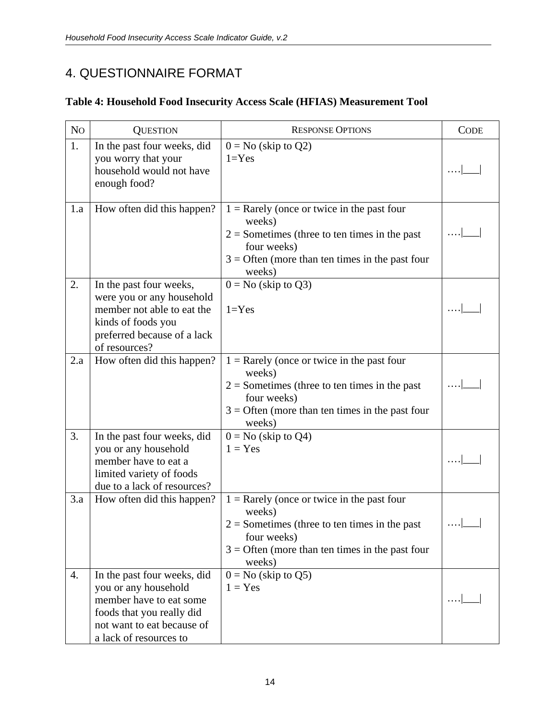# 4. QUESTIONNAIRE FORMAT

# **Table 4: Household Food Insecurity Access Scale (HFIAS) Measurement Tool**

| No  | <b>QUESTION</b>                                                                                                                                                     | <b>RESPONSE OPTIONS</b>                                                                                                                                                                 | <b>CODE</b> |
|-----|---------------------------------------------------------------------------------------------------------------------------------------------------------------------|-----------------------------------------------------------------------------------------------------------------------------------------------------------------------------------------|-------------|
| 1.  | In the past four weeks, did<br>you worry that your<br>household would not have<br>enough food?                                                                      | $0 = No$ (skip to $Q2$ )<br>$1 = Yes$                                                                                                                                                   |             |
| 1.a | How often did this happen?                                                                                                                                          | $1 =$ Rarely (once or twice in the past four<br>weeks)<br>$2 =$ Sometimes (three to ten times in the past<br>four weeks)<br>$3 =$ Often (more than ten times in the past four<br>weeks) |             |
| 2.  | In the past four weeks,<br>were you or any household<br>member not able to eat the<br>kinds of foods you<br>preferred because of a lack<br>of resources?            | $0 = No$ (skip to Q3)<br>$1 = Yes$                                                                                                                                                      |             |
| 2.a | How often did this happen?                                                                                                                                          | $1 =$ Rarely (once or twice in the past four<br>weeks)<br>$2 =$ Sometimes (three to ten times in the past<br>four weeks)<br>$3 =$ Often (more than ten times in the past four<br>weeks) |             |
| 3.  | In the past four weeks, did<br>you or any household<br>member have to eat a<br>limited variety of foods<br>due to a lack of resources?                              | $0 = No$ (skip to Q4)<br>$1 = Yes$                                                                                                                                                      |             |
| 3.a | How often did this happen?                                                                                                                                          | $1 =$ Rarely (once or twice in the past four<br>weeks)<br>$2 =$ Sometimes (three to ten times in the past<br>four weeks)<br>$3 =$ Often (more than ten times in the past four<br>weeks) |             |
| 4.  | In the past four weeks, did<br>you or any household<br>member have to eat some<br>foods that you really did<br>not want to eat because of<br>a lack of resources to | $0 = No$ (skip to Q5)<br>$1 = Yes$                                                                                                                                                      |             |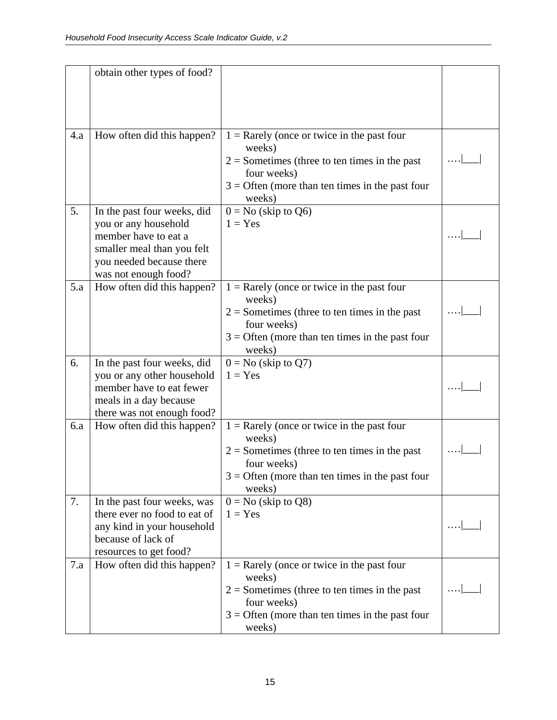|     | obtain other types of food?                                                                                                                                   |                                                                                                                                                                                         |  |
|-----|---------------------------------------------------------------------------------------------------------------------------------------------------------------|-----------------------------------------------------------------------------------------------------------------------------------------------------------------------------------------|--|
| 4.a | How often did this happen?                                                                                                                                    | $1 =$ Rarely (once or twice in the past four<br>weeks)<br>$2 =$ Sometimes (three to ten times in the past<br>four weeks)<br>$3 =$ Often (more than ten times in the past four<br>weeks) |  |
| 5.  | In the past four weeks, did<br>you or any household<br>member have to eat a<br>smaller meal than you felt<br>you needed because there<br>was not enough food? | $0 = No$ (skip to Q6)<br>$1 = Yes$                                                                                                                                                      |  |
| 5.a | How often did this happen?                                                                                                                                    | $1 =$ Rarely (once or twice in the past four<br>weeks)<br>$2 =$ Sometimes (three to ten times in the past<br>four weeks)<br>$3 =$ Often (more than ten times in the past four<br>weeks) |  |
| 6.  | In the past four weeks, did<br>you or any other household<br>member have to eat fewer<br>meals in a day because<br>there was not enough food?                 | $0 = No$ (skip to $Q7$ )<br>$1 = Yes$                                                                                                                                                   |  |
| 6.a | How often did this happen?                                                                                                                                    | $1 =$ Rarely (once or twice in the past four<br>weeks)<br>$2 =$ Sometimes (three to ten times in the past<br>four weeks)<br>$3 =$ Often (more than ten times in the past four<br>weeks) |  |
| 7.  | In the past four weeks, was<br>there ever no food to eat of<br>any kind in your household<br>because of lack of<br>resources to get food?                     | $0 = No$ (skip to Q8)<br>$1 = Yes$                                                                                                                                                      |  |
| 7.a | How often did this happen?                                                                                                                                    | $1 =$ Rarely (once or twice in the past four<br>weeks)<br>$2 =$ Sometimes (three to ten times in the past<br>four weeks)<br>$3 =$ Often (more than ten times in the past four<br>weeks) |  |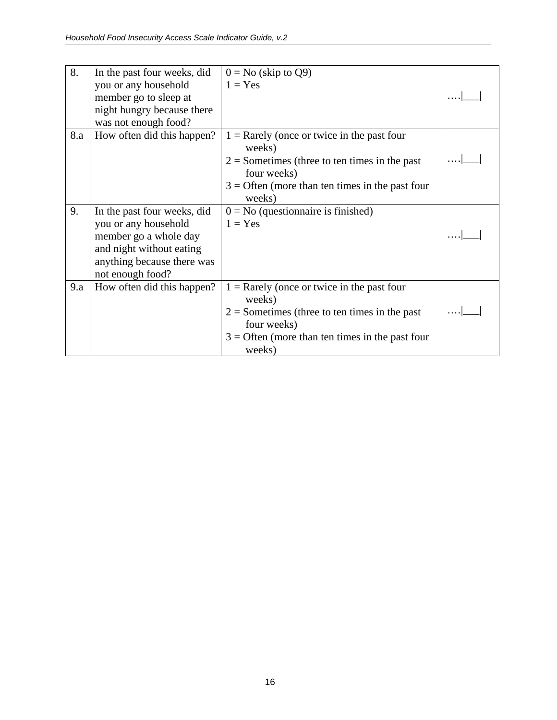| 8.  | In the past four weeks, did | $0 = No$ (skip to Q9)                                          |  |
|-----|-----------------------------|----------------------------------------------------------------|--|
|     | you or any household        | $1 = Yes$                                                      |  |
|     | member go to sleep at       |                                                                |  |
|     | night hungry because there  |                                                                |  |
|     | was not enough food?        |                                                                |  |
| 8.a | How often did this happen?  | $1 =$ Rarely (once or twice in the past four                   |  |
|     |                             | weeks)                                                         |  |
|     |                             | $2 =$ Sometimes (three to ten times in the past                |  |
|     |                             | four weeks)                                                    |  |
|     |                             | $3 =$ Often (more than ten times in the past four              |  |
|     |                             | weeks)                                                         |  |
| 9.  | In the past four weeks, did | $0 = No$ (questionnaire is finished)                           |  |
|     | you or any household        | $1 = Yes$                                                      |  |
|     | member go a whole day       |                                                                |  |
|     | and night without eating    |                                                                |  |
|     | anything because there was  |                                                                |  |
|     | not enough food?            |                                                                |  |
| 9.a | How often did this happen?  | $1 =$ Rarely (once or twice in the past four<br>weeks)         |  |
|     |                             | $2 =$ Sometimes (three to ten times in the past<br>four weeks) |  |
|     |                             | $3 =$ Often (more than ten times in the past four<br>weeks)    |  |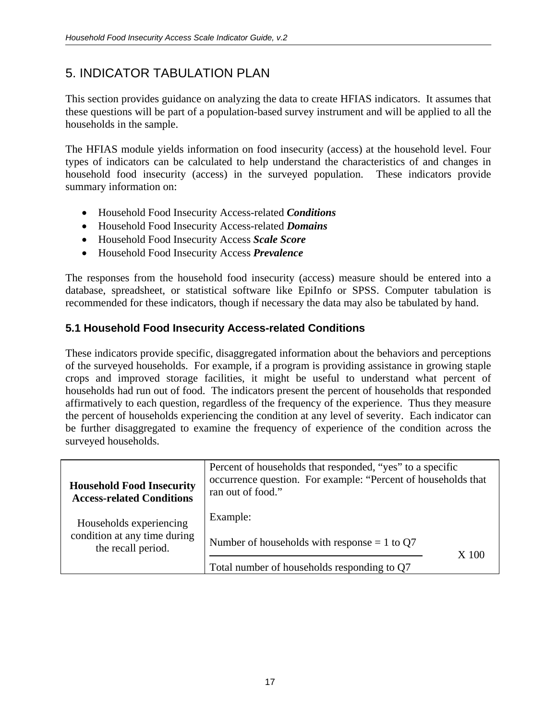# 5. INDICATOR TABULATION PLAN

This section provides guidance on analyzing the data to create HFIAS indicators. It assumes that these questions will be part of a population-based survey instrument and will be applied to all the households in the sample.

The HFIAS module yields information on food insecurity (access) at the household level. Four types of indicators can be calculated to help understand the characteristics of and changes in household food insecurity (access) in the surveyed population. These indicators provide summary information on:

- Household Food Insecurity Access-related *Conditions*
- Household Food Insecurity Access-related *Domains*
- Household Food Insecurity Access *Scale Score*
- Household Food Insecurity Access *Prevalence*

The responses from the household food insecurity (access) measure should be entered into a database, spreadsheet, or statistical software like EpiInfo or SPSS. Computer tabulation is recommended for these indicators, though if necessary the data may also be tabulated by hand.

# **5.1 Household Food Insecurity Access-related Conditions**

These indicators provide specific, disaggregated information about the behaviors and perceptions of the surveyed households. For example, if a program is providing assistance in growing staple crops and improved storage facilities, it might be useful to understand what percent of households had run out of food. The indicators present the percent of households that responded affirmatively to each question, regardless of the frequency of the experience. Thus they measure the percent of households experiencing the condition at any level of severity. Each indicator can be further disaggregated to examine the frequency of experience of the condition across the surveyed households.

| <b>Household Food Insecurity</b><br><b>Access-related Conditions</b> | Percent of households that responded, "yes" to a specific<br>occurrence question. For example: "Percent of households that<br>ran out of food." |       |
|----------------------------------------------------------------------|-------------------------------------------------------------------------------------------------------------------------------------------------|-------|
| Households experiencing                                              | Example:                                                                                                                                        |       |
| condition at any time during<br>the recall period.                   | Number of households with response $= 1$ to Q7                                                                                                  | X 100 |
|                                                                      | Total number of households responding to Q7                                                                                                     |       |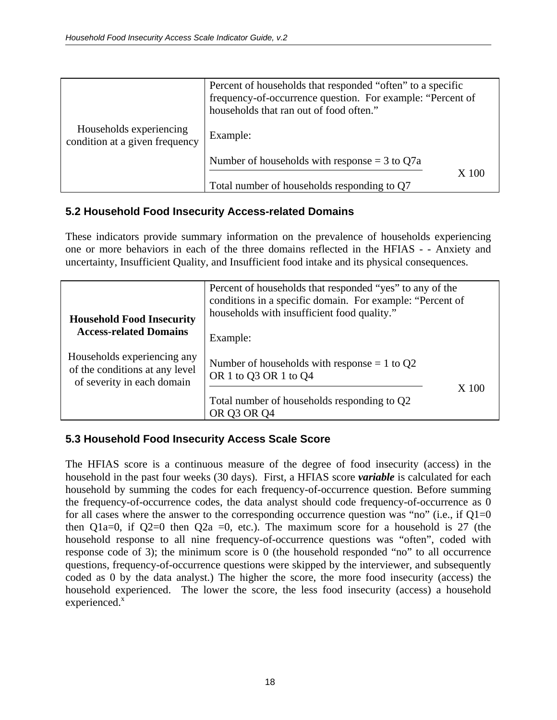|                                                           | Percent of households that responded "often" to a specific<br>frequency-of-occurrence question. For example: "Percent of<br>households that ran out of food often." |
|-----------------------------------------------------------|---------------------------------------------------------------------------------------------------------------------------------------------------------------------|
| Households experiencing<br>condition at a given frequency | Example:                                                                                                                                                            |
|                                                           | Number of households with response $=$ 3 to Q7a                                                                                                                     |
|                                                           | X 100<br>Total number of households responding to Q7                                                                                                                |

#### **5.2 Household Food Insecurity Access-related Domains**

These indicators provide summary information on the prevalence of households experiencing one or more behaviors in each of the three domains reflected in the HFIAS - - Anxiety and uncertainty, Insufficient Quality, and Insufficient food intake and its physical consequences.

| Percent of households that responded "yes" to any of the<br>conditions in a specific domain. For example: "Percent of<br>households with insufficient food quality."<br><b>Household Food Insecurity</b><br><b>Access-related Domains</b> |                                                                                     |       |
|-------------------------------------------------------------------------------------------------------------------------------------------------------------------------------------------------------------------------------------------|-------------------------------------------------------------------------------------|-------|
| Households experiencing any<br>of the conditions at any level<br>of severity in each domain                                                                                                                                               | Example:<br>Number of households with response $= 1$ to Q2<br>OR 1 to Q3 OR 1 to Q4 |       |
|                                                                                                                                                                                                                                           | Total number of households responding to Q2<br>OR 03 OR 04                          | X 100 |

## **5.3 Household Food Insecurity Access Scale Score**

The HFIAS score is a continuous measure of the degree of food insecurity (access) in the household in the past four weeks (30 days). First, a HFIAS score *variable* is calculated for each household by summing the codes for each frequency-of-occurrence question. Before summing the frequency-of-occurrence codes, the data analyst should code frequency-of-occurrence as 0 for all cases where the answer to the corresponding occurrence question was "no" (i.e., if  $Q1=0$ then Q1a=0, if Q2=0 then Q2a =0, etc.). The maximum score for a household is 27 (the household response to all nine frequency-of-occurrence questions was "often", coded with response code of 3); the minimum score is 0 (the household responded "no" to all occurrence questions, frequency-of-occurrence questions were skipped by the interviewer, and subsequently coded as 0 by the data analyst.) The higher the score, the more food insecurity (access) the household experienced. The lower the score, the less food insecurity (access) a household  $experienced.<sup>x</sup>$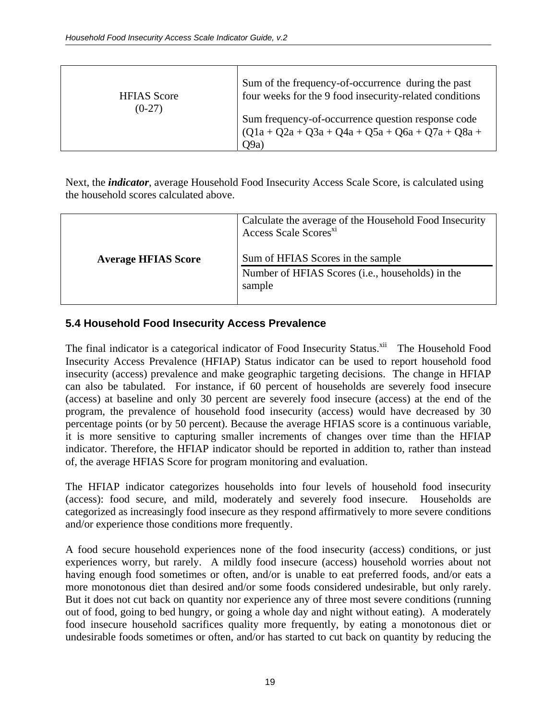| <b>HFIAS</b> Score | Sum of the frequency-of-occurrence during the past                                                               |
|--------------------|------------------------------------------------------------------------------------------------------------------|
| $(0-27)$           | four weeks for the 9 food insecurity-related conditions                                                          |
|                    | Sum frequency-of-occurrence question response code<br>$(Q1a + Q2a + Q3a + Q4a + Q5a + Q6a + Q7a + Q8a +$<br>O9a) |

Next, the *indicator*, average Household Food Insecurity Access Scale Score, is calculated using the household scores calculated above.

|                            | Calculate the average of the Household Food Insecurity<br>Access Scale Scores <sup>xi</sup>              |
|----------------------------|----------------------------------------------------------------------------------------------------------|
| <b>Average HFIAS Score</b> | Sum of HFIAS Scores in the sample<br>Number of HFIAS Scores ( <i>i.e.</i> , households) in the<br>sample |

## **5.4 Household Food Insecurity Access Prevalence**

The final indicator is a categorical indicator of Food Insecurity Status.<sup>xii</sup> The Household Food Insecurity Access Prevalence (HFIAP) Status indicator can be used to report household food insecurity (access) prevalence and make geographic targeting decisions. The change in HFIAP can also be tabulated. For instance, if 60 percent of households are severely food insecure (access) at baseline and only 30 percent are severely food insecure (access) at the end of the program, the prevalence of household food insecurity (access) would have decreased by 30 percentage points (or by 50 percent). Because the average HFIAS score is a continuous variable, it is more sensitive to capturing smaller increments of changes over time than the HFIAP indicator. Therefore, the HFIAP indicator should be reported in addition to, rather than instead of, the average HFIAS Score for program monitoring and evaluation.

The HFIAP indicator categorizes households into four levels of household food insecurity (access): food secure, and mild, moderately and severely food insecure. Households are categorized as increasingly food insecure as they respond affirmatively to more severe conditions and/or experience those conditions more frequently.

A food secure household experiences none of the food insecurity (access) conditions, or just experiences worry, but rarely. A mildly food insecure (access) household worries about not having enough food sometimes or often, and/or is unable to eat preferred foods, and/or eats a more monotonous diet than desired and/or some foods considered undesirable, but only rarely. But it does not cut back on quantity nor experience any of three most severe conditions (running out of food, going to bed hungry, or going a whole day and night without eating). A moderately food insecure household sacrifices quality more frequently, by eating a monotonous diet or undesirable foods sometimes or often, and/or has started to cut back on quantity by reducing the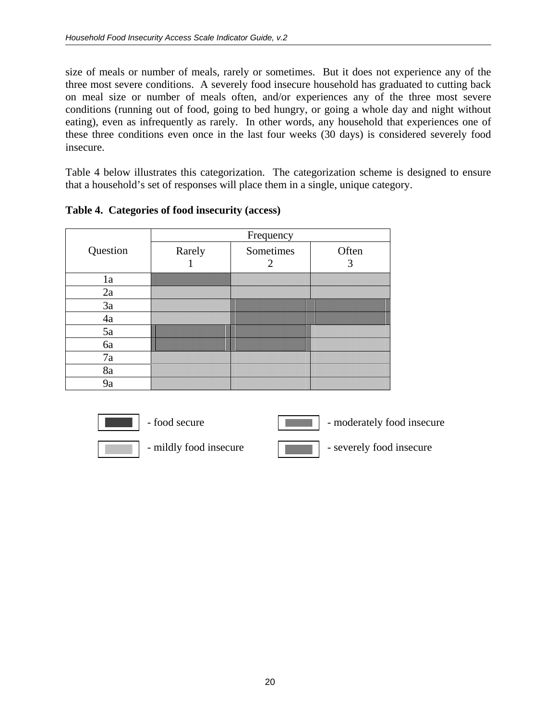size of meals or number of meals, rarely or sometimes. But it does not experience any of the three most severe conditions. A severely food insecure household has graduated to cutting back on meal size or number of meals often, and/or experiences any of the three most severe conditions (running out of food, going to bed hungry, or going a whole day and night without eating), even as infrequently as rarely. In other words, any household that experiences one of these three conditions even once in the last four weeks (30 days) is considered severely food insecure.

Table 4 below illustrates this categorization. The categorization scheme is designed to ensure that a household's set of responses will place them in a single, unique category.

|          | Frequency |                                                                                                                                                   |       |
|----------|-----------|---------------------------------------------------------------------------------------------------------------------------------------------------|-------|
| Question | Rarely    | Sometimes                                                                                                                                         | Often |
| 1a       |           |                                                                                                                                                   |       |
| 2a       |           |                                                                                                                                                   |       |
| 3a       |           |                                                                                                                                                   |       |
| 4a       |           |                                                                                                                                                   | IIII  |
| 5a       |           | <b>The Common Service</b><br><b>The Contract of the Contract of the Contract of The Contract of The Contract of The Contract of The Contract </b> |       |
| 6a       |           | <u> Tanzania (h. 1888).</u>                                                                                                                       |       |
| 7a       |           |                                                                                                                                                   |       |
| 8a       |           |                                                                                                                                                   |       |
| 9a       |           |                                                                                                                                                   |       |

**Table 4. Categories of food insecurity (access)** 

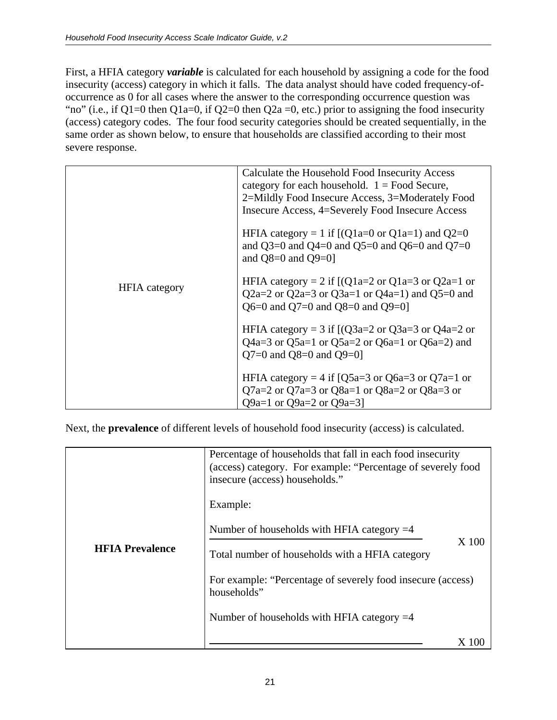First, a HFIA category *variable* is calculated for each household by assigning a code for the food insecurity (access) category in which it falls. The data analyst should have coded frequency-ofoccurrence as 0 for all cases where the answer to the corresponding occurrence question was "no" (i.e., if Q1=0 then Q1a=0, if Q2=0 then Q2a =0, etc.) prior to assigning the food insecurity (access) category codes. The four food security categories should be created sequentially, in the same order as shown below, to ensure that households are classified according to their most severe response.

|                      | Calculate the Household Food Insecurity Access<br>category for each household. $1 =$ Food Secure,<br>2=Mildly Food Insecure Access, 3=Moderately Food<br>Insecure Access, 4=Severely Food Insecure Access |
|----------------------|-----------------------------------------------------------------------------------------------------------------------------------------------------------------------------------------------------------|
|                      | HFIA category = 1 if $[(Q1a=0 \text{ or } Q1a=1)$ and $Q2=0$<br>and Q3=0 and Q4=0 and Q5=0 and Q6=0 and Q7=0<br>and $Q8=0$ and $Q9=0$ ]                                                                   |
| <b>HFIA</b> category | HFIA category = 2 if $[(Q1a=2 \text{ or } Q1a=3 \text{ or } Q2a=1 \text{ or } Q2a=1])$<br>Q2a=2 or Q2a=3 or Q3a=1 or Q4a=1) and Q5=0 and<br>Q6=0 and Q7=0 and Q8=0 and Q9=0]                              |
|                      | HFIA category = 3 if $[(Q3a=2 \text{ or } Q3a=3 \text{ or } Q4a=2 \text{ or }$<br>Q4a=3 or Q5a=1 or Q5a=2 or Q6a=1 or Q6a=2) and<br>Q7=0 and Q8=0 and Q9=0]                                               |
|                      | HFIA category = 4 if [Q5a=3 or Q6a=3 or Q7a=1 or<br>Q7a=2 or Q7a=3 or Q8a=1 or Q8a=2 or Q8a=3 or<br>Q9a=1 or Q9a=2 or Q9a=3]                                                                              |

Next, the **prevalence** of different levels of household food insecurity (access) is calculated.

|                        | Percentage of households that fall in each food insecurity<br>(access) category. For example: "Percentage of severely food<br>insecure (access) households." |
|------------------------|--------------------------------------------------------------------------------------------------------------------------------------------------------------|
|                        | Example:                                                                                                                                                     |
|                        | Number of households with HFIA category $=4$<br>X 100                                                                                                        |
| <b>HFIA Prevalence</b> | Total number of households with a HFIA category                                                                                                              |
|                        | For example: "Percentage of severely food insecure (access)<br>households"                                                                                   |
|                        | Number of households with HFIA category $=4$                                                                                                                 |
|                        |                                                                                                                                                              |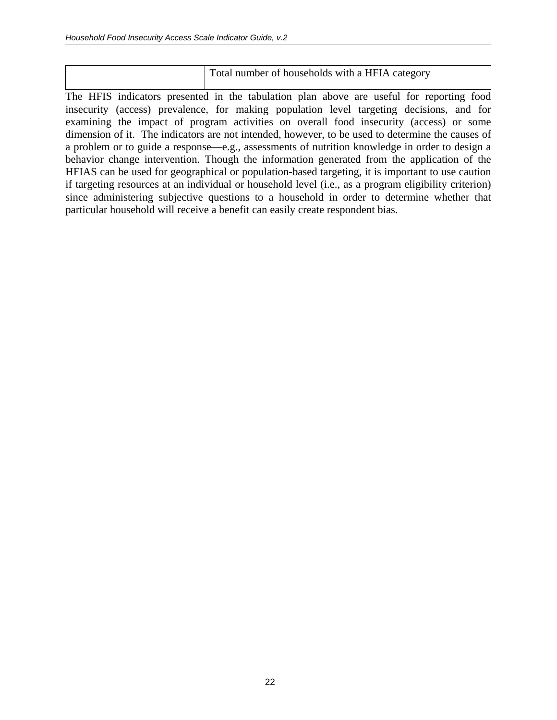| Total number of households with a HFIA category |
|-------------------------------------------------|
|                                                 |

The HFIS indicators presented in the tabulation plan above are useful for reporting food insecurity (access) prevalence, for making population level targeting decisions, and for examining the impact of program activities on overall food insecurity (access) or some dimension of it. The indicators are not intended, however, to be used to determine the causes of a problem or to guide a response—e.g., assessments of nutrition knowledge in order to design a behavior change intervention. Though the information generated from the application of the HFIAS can be used for geographical or population-based targeting, it is important to use caution if targeting resources at an individual or household level (i.e., as a program eligibility criterion) since administering subjective questions to a household in order to determine whether that particular household will receive a benefit can easily create respondent bias.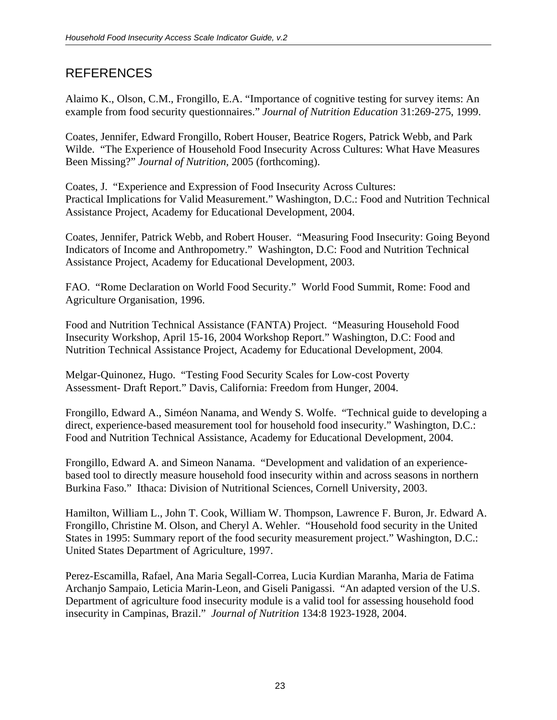# **REFERENCES**

Alaimo K., Olson, C.M., Frongillo, E.A. "Importance of cognitive testing for survey items: An example from food security questionnaires." *Journal of Nutrition Education* 31:269-275, 1999.

Coates, Jennifer, Edward Frongillo, Robert Houser, Beatrice Rogers, Patrick Webb, and Park Wilde. "The Experience of Household Food Insecurity Across Cultures: What Have Measures Been Missing?" *Journal of Nutrition,* 2005 (forthcoming).

Coates, J. "Experience and Expression of Food Insecurity Across Cultures: Practical Implications for Valid Measurement." Washington, D.C.: Food and Nutrition Technical Assistance Project, Academy for Educational Development, 2004.

Coates, Jennifer, Patrick Webb, and Robert Houser. "Measuring Food Insecurity: Going Beyond Indicators of Income and Anthropometry." Washington, D.C: Food and Nutrition Technical Assistance Project, Academy for Educational Development, 2003.

FAO. "Rome Declaration on World Food Security." World Food Summit, Rome: Food and Agriculture Organisation, 1996.

Food and Nutrition Technical Assistance (FANTA) Project. "Measuring Household Food Insecurity Workshop, April 15-16, 2004 Workshop Report." Washington, D.C: Food and Nutrition Technical Assistance Project, Academy for Educational Development, 2004.

Melgar-Quinonez, Hugo. "Testing Food Security Scales for Low-cost Poverty Assessment- Draft Report." Davis, California: Freedom from Hunger, 2004.

Frongillo, Edward A., Siméon Nanama, and Wendy S. Wolfe. "Technical guide to developing a direct, experience-based measurement tool for household food insecurity." Washington, D.C.: Food and Nutrition Technical Assistance, Academy for Educational Development, 2004.

Frongillo, Edward A. and Simeon Nanama. "Development and validation of an experiencebased tool to directly measure household food insecurity within and across seasons in northern Burkina Faso." Ithaca: Division of Nutritional Sciences, Cornell University, 2003.

Hamilton, William L., John T. Cook, William W. Thompson, Lawrence F. Buron, Jr. Edward A. Frongillo, Christine M. Olson, and Cheryl A. Wehler. "Household food security in the United States in 1995: Summary report of the food security measurement project." Washington, D.C.: United States Department of Agriculture, 1997.

Perez-Escamilla, Rafael, Ana Maria Segall-Correa, Lucia Kurdian Maranha, Maria de Fatima Archanjo Sampaio, Leticia Marin-Leon, and Giseli Panigassi. "An adapted version of the U.S. Department of agriculture food insecurity module is a valid tool for assessing household food insecurity in Campinas, Brazil." *Journal of Nutrition* 134:8 1923-1928, 2004.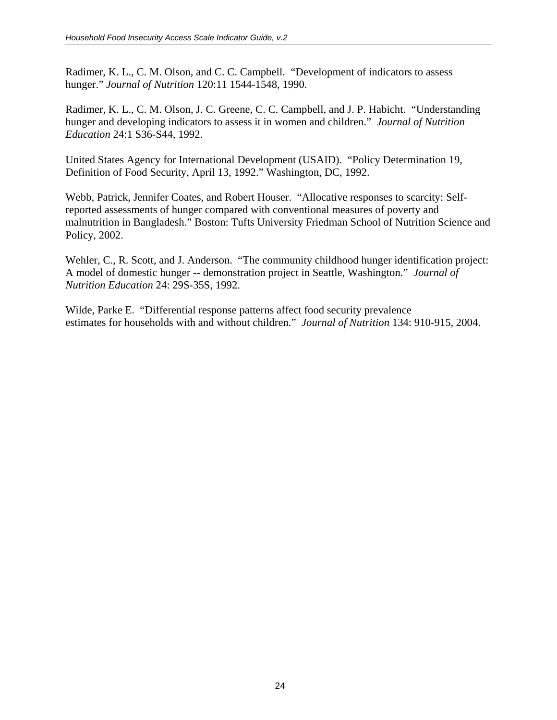Radimer, K. L., C. M. Olson, and C. C. Campbell. "Development of indicators to assess hunger." *Journal of Nutrition* 120:11 1544-1548, 1990.

Radimer, K. L., C. M. Olson, J. C. Greene, C. C. Campbell, and J. P. Habicht. "Understanding hunger and developing indicators to assess it in women and children." *Journal of Nutrition Education* 24:1 S36-S44, 1992.

United States Agency for International Development (USAID). "Policy Determination 19, Definition of Food Security, April 13, 1992." Washington, DC, 1992.

Webb, Patrick, Jennifer Coates, and Robert Houser. "Allocative responses to scarcity: Selfreported assessments of hunger compared with conventional measures of poverty and malnutrition in Bangladesh." Boston: Tufts University Friedman School of Nutrition Science and Policy, 2002.

Wehler, C., R. Scott, and J. Anderson. "The community childhood hunger identification project: A model of domestic hunger -- demonstration project in Seattle, Washington." *Journal of Nutrition Education* 24: 29S-35S, 1992.

Wilde, Parke E. "Differential response patterns affect food security prevalence estimates for households with and without children." *Journal of Nutrition* 134: 910-915, 2004.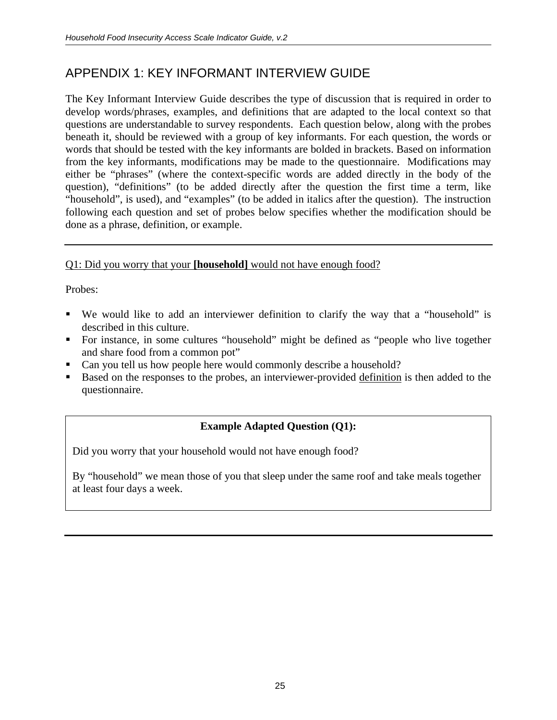# APPENDIX 1: KEY INFORMANT INTERVIEW GUIDE

The Key Informant Interview Guide describes the type of discussion that is required in order to develop words/phrases, examples, and definitions that are adapted to the local context so that questions are understandable to survey respondents. Each question below, along with the probes beneath it, should be reviewed with a group of key informants. For each question, the words or words that should be tested with the key informants are bolded in brackets. Based on information from the key informants, modifications may be made to the questionnaire. Modifications may either be "phrases" (where the context-specific words are added directly in the body of the question), "definitions" (to be added directly after the question the first time a term, like "household", is used), and "examples" (to be added in italics after the question). The instruction following each question and set of probes below specifies whether the modification should be done as a phrase, definition, or example.

## Q1: Did you worry that your **[household]** would not have enough food?

Probes:

- We would like to add an interviewer definition to clarify the way that a "household" is described in this culture.
- For instance, in some cultures "household" might be defined as "people who live together and share food from a common pot"
- Can you tell us how people here would commonly describe a household?
- Based on the responses to the probes, an interviewer-provided definition is then added to the questionnaire.

# **Example Adapted Question (Q1):**

Did you worry that your household would not have enough food?

By "household" we mean those of you that sleep under the same roof and take meals together at least four days a week.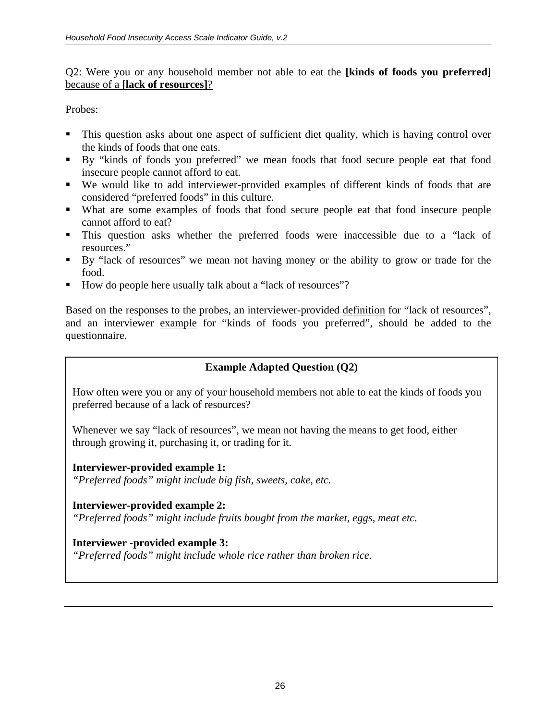#### Q2: Were you or any household member not able to eat the **[kinds of foods you preferred]** because of a **[lack of resources]**?

Probes:

- This question asks about one aspect of sufficient diet quality, which is having control over the kinds of foods that one eats.
- By "kinds of foods you preferred" we mean foods that food secure people eat that food insecure people cannot afford to eat.
- We would like to add interviewer-provided examples of different kinds of foods that are considered "preferred foods" in this culture.
- What are some examples of foods that food secure people eat that food insecure people cannot afford to eat?
- This question asks whether the preferred foods were inaccessible due to a "lack of resources."
- By "lack of resources" we mean not having money or the ability to grow or trade for the food.
- How do people here usually talk about a "lack of resources"?

Based on the responses to the probes, an interviewer-provided definition for "lack of resources", and an interviewer example for "kinds of foods you preferred", should be added to the questionnaire.

# **Example Adapted Question (Q2)**

How often were you or any of your household members not able to eat the kinds of foods you preferred because of a lack of resources?

Whenever we say "lack of resources", we mean not having the means to get food, either through growing it, purchasing it, or trading for it.

## **Interviewer-provided example 1:**

*"Preferred foods" might include big fish, sweets, cake, etc.* 

## **Interviewer-provided example 2:**

*"Preferred foods" might include fruits bought from the market, eggs, meat etc.* 

## **Interviewer -provided example 3:**

*"Preferred foods" might include whole rice rather than broken rice.*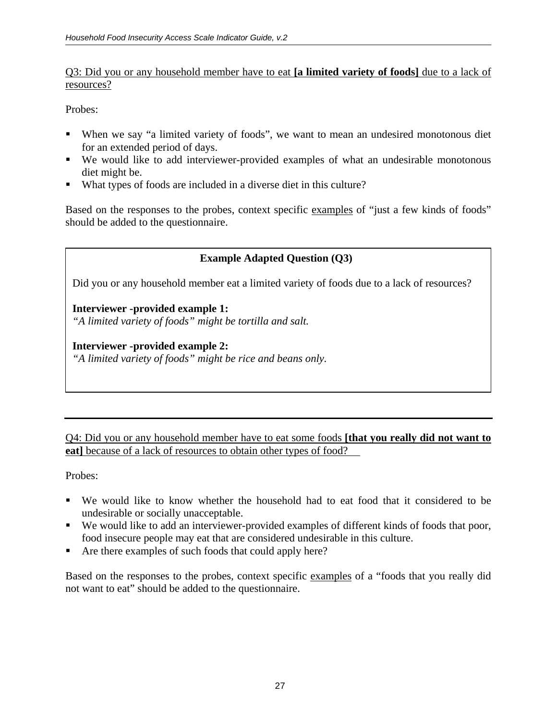## Q3: Did you or any household member have to eat **[a limited variety of foods]** due to a lack of resources?

Probes:

- When we say "a limited variety of foods", we want to mean an undesired monotonous diet for an extended period of days.
- We would like to add interviewer-provided examples of what an undesirable monotonous diet might be.
- What types of foods are included in a diverse diet in this culture?

Based on the responses to the probes, context specific examples of "just a few kinds of foods" should be added to the questionnaire.

# **Example Adapted Question (Q3)**

Did you or any household member eat a limited variety of foods due to a lack of resources?

## **Interviewer -provided example 1:**

*"A limited variety of foods" might be tortilla and salt.* 

## **Interviewer -provided example 2:**

*"A limited variety of foods" might be rice and beans only.*

Q4: Did you or any household member have to eat some foods **[that you really did not want to eat**] because of a lack of resources to obtain other types of food?

Probes:

- We would like to know whether the household had to eat food that it considered to be undesirable or socially unacceptable.
- We would like to add an interviewer-provided examples of different kinds of foods that poor, food insecure people may eat that are considered undesirable in this culture.
- Are there examples of such foods that could apply here?

Based on the responses to the probes, context specific examples of a "foods that you really did not want to eat" should be added to the questionnaire.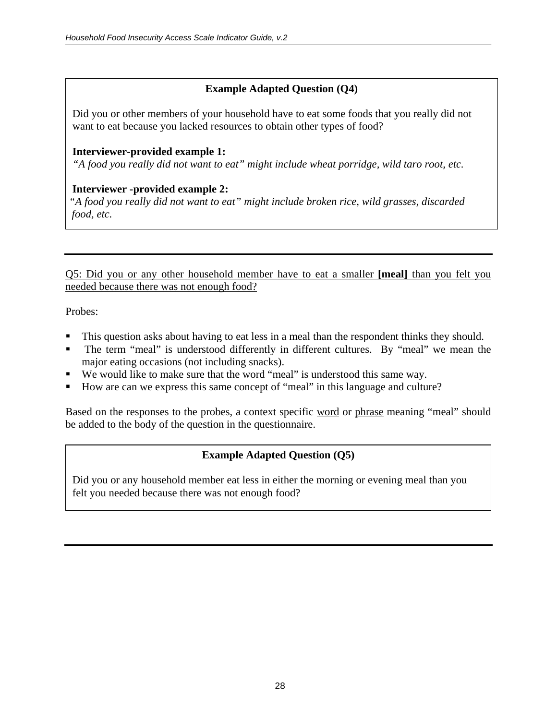# **Example Adapted Question (Q4)**

Did you or other members of your household have to eat some foods that you really did not want to eat because you lacked resources to obtain other types of food?

## **Interviewer-provided example 1:**

*"A food you really did not want to eat" might include wheat porridge, wild taro root, etc.* 

## **Interviewer -provided example 2:**

*"A food you really did not want to eat" might include broken rice, wild grasses, discarded food, etc.* 

Q5: Did you or any other household member have to eat a smaller **[meal]** than you felt you needed because there was not enough food?

Probes:

- This question asks about having to eat less in a meal than the respondent thinks they should.
- The term "meal" is understood differently in different cultures. By "meal" we mean the major eating occasions (not including snacks).
- We would like to make sure that the word "meal" is understood this same way.
- How are can we express this same concept of "meal" in this language and culture?

Based on the responses to the probes, a context specific word or phrase meaning "meal" should be added to the body of the question in the questionnaire.

# **Example Adapted Question (Q5)**

Did you or any household member eat less in either the morning or evening meal than you felt you needed because there was not enough food?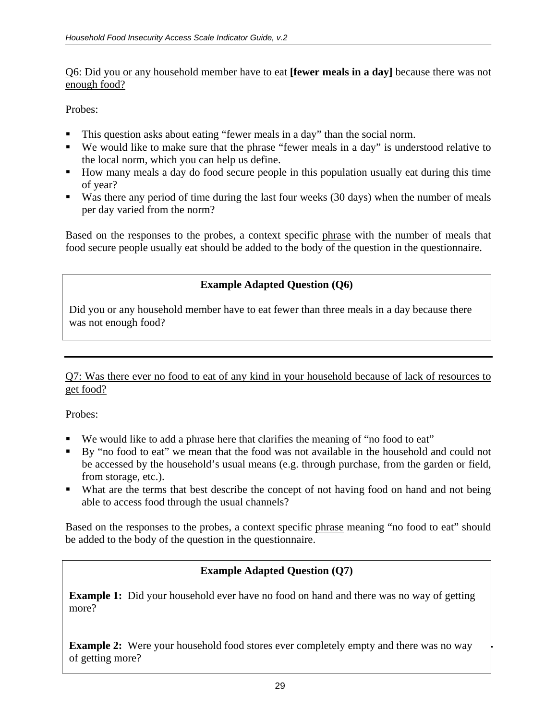#### Q6: Did you or any household member have to eat **[fewer meals in a day]** because there was not enough food?

Probes:

- This question asks about eating "fewer meals in a day" than the social norm.
- We would like to make sure that the phrase "fewer meals in a day" is understood relative to the local norm, which you can help us define.
- How many meals a day do food secure people in this population usually eat during this time of year?
- Was there any period of time during the last four weeks (30 days) when the number of meals per day varied from the norm?

Based on the responses to the probes, a context specific phrase with the number of meals that food secure people usually eat should be added to the body of the question in the questionnaire.

## **Example Adapted Question (Q6)**

Did you or any household member have to eat fewer than three meals in a day because there was not enough food?

Q7: Was there ever no food to eat of any kind in your household because of lack of resources to get food?

Probes:

- We would like to add a phrase here that clarifies the meaning of "no food to eat"
- By "no food to eat" we mean that the food was not available in the household and could not be accessed by the household's usual means (e.g. through purchase, from the garden or field, from storage, etc.).
- What are the terms that best describe the concept of not having food on hand and not being able to access food through the usual channels?

Based on the responses to the probes, a context specific phrase meaning "no food to eat" should be added to the body of the question in the questionnaire.

## **Example Adapted Question (Q7)**

**Example 1:** Did your household ever have no food on hand and there was no way of getting more?

**Example 2:** Were your household food stores ever completely empty and there was no way of getting more?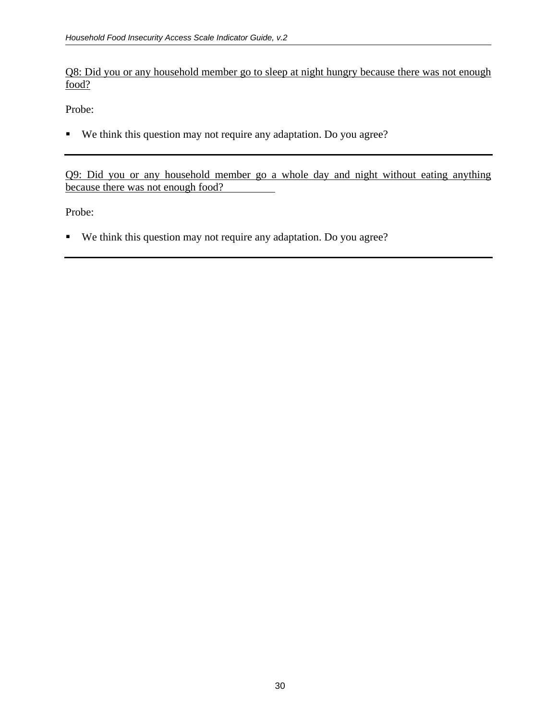Q8: Did you or any household member go to sleep at night hungry because there was not enough food?

Probe:

We think this question may not require any adaptation. Do you agree?

Q9: Did you or any household member go a whole day and night without eating anything because there was not enough food?

Probe:

We think this question may not require any adaptation. Do you agree?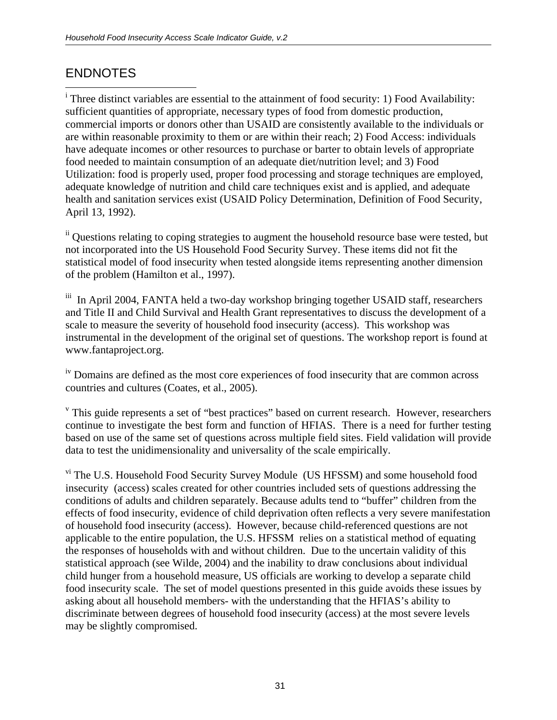# ENDNOTES

 $\overline{a}$ 

<sup>i</sup> Three distinct variables are essential to the attainment of food security: 1) Food Availability: sufficient quantities of appropriate, necessary types of food from domestic production, commercial imports or donors other than USAID are consistently available to the individuals or are within reasonable proximity to them or are within their reach; 2) Food Access: individuals have adequate incomes or other resources to purchase or barter to obtain levels of appropriate food needed to maintain consumption of an adequate diet/nutrition level; and 3) Food Utilization: food is properly used, proper food processing and storage techniques are employed, adequate knowledge of nutrition and child care techniques exist and is applied, and adequate health and sanitation services exist (USAID Policy Determination, Definition of Food Security, April 13, 1992).

<sup>ii</sup> Questions relating to coping strategies to augment the household resource base were tested, but not incorporated into the US Household Food Security Survey. These items did not fit the statistical model of food insecurity when tested alongside items representing another dimension of the problem (Hamilton et al., 1997).

<sup>iii</sup> In April 2004, FANTA held a two-day workshop bringing together USAID staff, researchers and Title II and Child Survival and Health Grant representatives to discuss the development of a scale to measure the severity of household food insecurity (access). This workshop was instrumental in the development of the original set of questions. The workshop report is found at www.fantaproject.org.

<sup>iv</sup> Domains are defined as the most core experiences of food insecurity that are common across countries and cultures (Coates, et al., 2005).

<sup>v</sup> This guide represents a set of "best practices" based on current research. However, researchers continue to investigate the best form and function of HFIAS. There is a need for further testing based on use of the same set of questions across multiple field sites. Field validation will provide data to test the unidimensionality and universality of the scale empirically.

<sup>vi</sup> The U.S. Household Food Security Survey Module (US HFSSM) and some household food insecurity (access) scales created for other countries included sets of questions addressing the conditions of adults and children separately. Because adults tend to "buffer" children from the effects of food insecurity, evidence of child deprivation often reflects a very severe manifestation of household food insecurity (access). However, because child-referenced questions are not applicable to the entire population, the U.S. HFSSM relies on a statistical method of equating the responses of households with and without children. Due to the uncertain validity of this statistical approach (see Wilde, 2004) and the inability to draw conclusions about individual child hunger from a household measure, US officials are working to develop a separate child food insecurity scale. The set of model questions presented in this guide avoids these issues by asking about all household members- with the understanding that the HFIAS's ability to discriminate between degrees of household food insecurity (access) at the most severe levels may be slightly compromised.